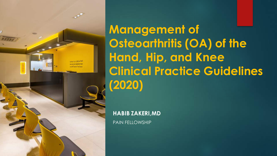نما سراوار درد دست

**Management of Osteoarthritis (OA) of the Hand, Hip, and Knee Clinical Practice Guidelines (2020)**

**HABIB ZAKERI,MD**

PAIN FELLOWSHIP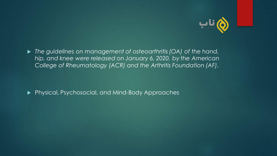

▶ The guidelines on management of osteoarthritis (OA) of the hand, *hip, and knee were released on January 6, 2020, by the American College of Rheumatology (ACR) and the Arthritis Foundation (AF)*.

Physical, Psychosocial, and Mind-Body Approaches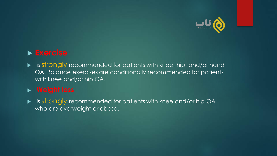

# **Exercise**

 $\blacktriangleright$  is strongly recommended for patients with knee, hip, and/or hand OA. Balance exercises are conditionally recommended for patients with knee and/or hip OA.

### <sup>u</sup> **Weight loss**

▶ is strongly recommended for patients with knee and/or hip OA who are overweight or obese.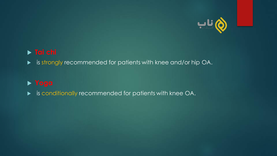

### u **Tai chi**

u is strongly recommended for patients with knee and/or hip OA.

#### u **Yoga**

**EX is conditionally recommended for patients with knee OA.**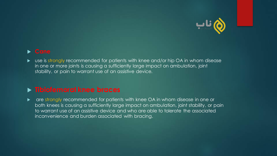

▶ use is strongly recommended for patients with knee and/or hip OA in whom disease in one or more joints is causing a sufficiently large impact on ambulation, joint stability, or pain to warrant use of an assistive device.

#### u **Tibiofemoral knee braces**

• are strongly recommended for patients with knee OA in whom disease in one or both knees is causing a sufficiently large impact on ambulation, joint stability, or pain to warrant use of an assistive device and who are able to tolerate the associated inconvenience and burden associated with bracing.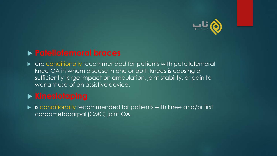

# u **Patellofemoral braces**

 $\triangleright$  are conditionally recommended for patients with patellofemoral knee OA in whom disease in one or both knees is causing a sufficiently large impact on ambulation, joint stability, or pain to warrant use of an assistive device.

# **Example Serior** Kinesiotaping

u is conditionally recommended for patients with knee and/or first carpometacarpal (CMC) joint OA.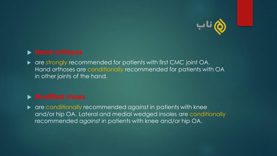

### **Fand orthoses**

• are strongly recommended for patients with first CMC joint OA. Hand orthoses are conditionally recommended for patients with OA in other joints of the hand.

### **Modified shoes**

**Example 20 are conditionally recommended against in patients with knee** and/or hip OA. Lateral and medial wedged insoles are conditionally recommended *against* in patients with knee and/or hip OA.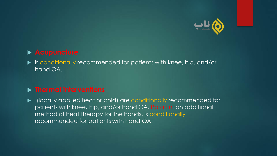

#### **Acupuncture**

 $\blacktriangleright$  is conditionally recommended for patients with knee, hip, and/or hand OA.

#### **Figure 1 > Thermal interventions**

**EX (locally applied heat or cold) are conditionally recommended for** patients with knee, hip, and/or hand OA. Paraffin, an additional method of heat therapy for the hands, is conditionally recommended for patients with hand OA.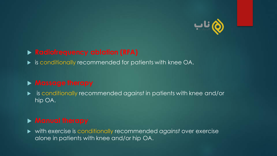

#### **Radiofrequency ablation (RFA)**

 $\blacktriangleright$  is conditionally recommended for patients with knee OA.

#### **Massage therapy**

u is conditionally recommended *against* in patients with knee and/or hip OA.

#### **Manual therapy**

u with exercise is conditionally recommended *against* over exercise alone in patients with knee and/or hip OA.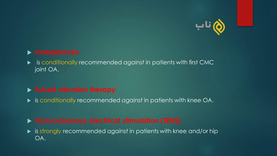

#### u **Iontophoresis**

u is conditionally recommended *against* in patients with first CMC joint OA.

#### **Pulsed vibration therapy**

u is conditionally recommended *against* in patients with knee OA.

#### **Figure 1 - Transcutaneous electrical stimulation (TENS)**

u is strongly recommended *against* in patients with knee and/or hip OA.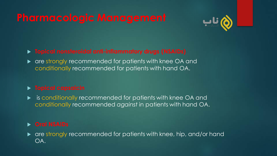# **Pharmacologic Management**



u **Topical nonsteroidal anti-inflammatory drugs (NSAIDs)**

• are strongly recommended for patients with knee OA and conditionally recommended for patients with hand OA.

 $\blacktriangleright$  is conditionally recommended for patients with knee OA and conditionally recommended *against* in patients with hand OA.

u **Oral NSAIDs**

 $\blacktriangleright$  are strongly recommended for patients with knee, hip, and/or hand OA.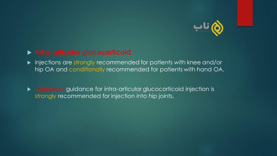

#### u **Intra-articular glucocorticoid**

**Demography induced** in patients with knee and/or hip OA and conditionally recommended for patients with hand OA.

**E** Ultrasound guidance for intra-articular glucocorticoid injection is strongly recommended for injection into hip joints.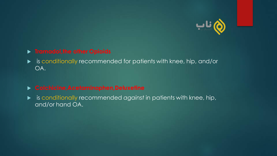

#### **Firamadol, the other Opioids**

 $\blacktriangleright$  is conditionally recommended for patients with knee, hip, and/or OA.

#### u **Colchicine,Acetaminophen,Deluxetine**

u is conditionally recommended *against* in patients with knee, hip, and/or hand OA.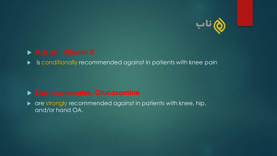

#### u **Fish oil** , **Vitamin D**

u is conditionally recommended *against* in patients with knee pain

#### u **Bisphosphonates, Glucosamine**

**Detable 20 are strongly recommended against in patients with knee, hip,** and/or hand OA.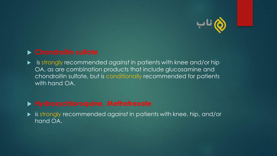

#### u **Chondroitin sulfate**

u is strongly recommended *against* in patients with knee and/or hip OA, as are combination products that include glucosamine and chondroitin sulfate, but is conditionally recommended for patients with hand OA.

# u **Hydroxychloroquine, Methotrexate**

u is strongly recommended *against* in patients with knee, hip, and/or hand OA.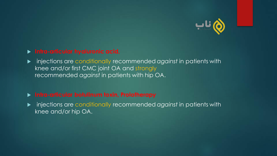

#### u **Intra-articular hyaluronic acid,**

u injections are conditionally recommended *against* in patients with knee and/or first CMC joint OA and strongly recommended *against* in patients with hip OA.

#### u **Intra-articular botulinum toxin, Prolotherapy**

u injections are conditionally recommended *against* in patients with knee and/or hip OA.